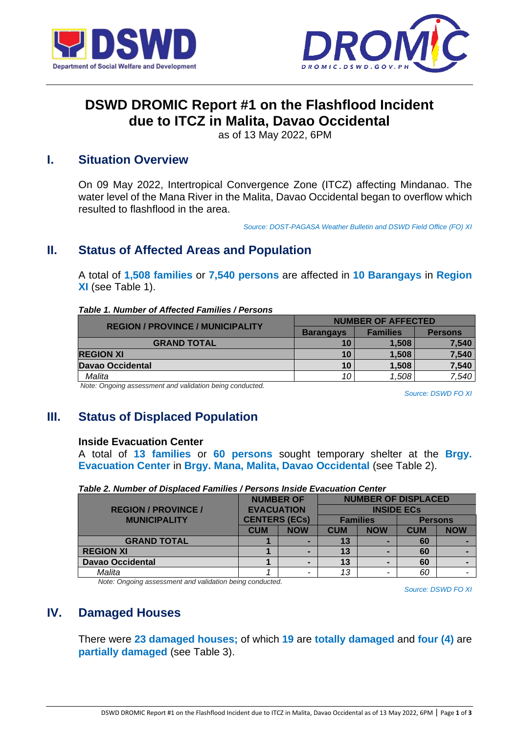



# **DSWD DROMIC Report #1 on the Flashflood Incident due to ITCZ in Malita, Davao Occidental**

as of 13 May 2022, 6PM

# **I. Situation Overview**

On 09 May 2022, Intertropical Convergence Zone (ITCZ) affecting Mindanao. The water level of the Mana River in the Malita, Davao Occidental began to overflow which resulted to flashflood in the area.

*Source: DOST-PAGASA Weather Bulletin and DSWD Field Office (FO) XI*

# **II. Status of Affected Areas and Population**

A total of **1,508 families** or **7,540 persons** are affected in **10 Barangays** in **Region XI** (see Table 1).

#### *Table 1. Number of Affected Families / Persons*

| <b>REGION / PROVINCE / MUNICIPALITY</b> | <b>NUMBER OF AFFECTED</b> |                 |                |  |
|-----------------------------------------|---------------------------|-----------------|----------------|--|
|                                         | <b>Barangays</b>          | <b>Families</b> | <b>Persons</b> |  |
| <b>GRAND TOTAL</b>                      | 10                        | 1.508           | 7,540          |  |
| <b>REGION XI</b>                        | 10                        | 1,508           | 7,540          |  |
| Davao Occidental                        | 10                        | 1,508           | 7,540          |  |
| Malita                                  | 10                        | 1,508           | 7,540          |  |

*Note: Ongoing assessment and validation being conducted.*

*Source: DSWD FO XI*

# **III. Status of Displaced Population**

### **Inside Evacuation Center**

A total of **13 families** or **60 persons** sought temporary shelter at the **Brgy. Evacuation Center** in **Brgy. Mana, Malita, Davao Occidental** (see Table 2).

| <b>NUMBER OF</b>           |                                           |                          | <b>NUMBER OF DISPLACED</b> |            |                |            |
|----------------------------|-------------------------------------------|--------------------------|----------------------------|------------|----------------|------------|
| <b>REGION / PROVINCE /</b> | <b>EVACUATION</b><br><b>CENTERS (ECs)</b> |                          | <b>INSIDE ECS</b>          |            |                |            |
| <b>MUNICIPALITY</b>        |                                           |                          | <b>Families</b>            |            | <b>Persons</b> |            |
|                            | <b>CUM</b>                                | <b>NOW</b>               | <b>CUM</b>                 | <b>NOW</b> | <b>CUM</b>     | <b>NOW</b> |
| <b>GRAND TOTAL</b>         |                                           |                          | 13                         |            | 60             |            |
| <b>REGION XI</b>           |                                           |                          | 13                         |            | 60             |            |
| <b>Davao Occidental</b>    |                                           | $\overline{\phantom{0}}$ | 13                         |            | 60             |            |
| Malita                     |                                           |                          | 13                         |            | 60             |            |

### *Table 2. Number of Displaced Families / Persons Inside Evacuation Center*

*Note: Ongoing assessment and validation being conducted.*

*Source: DSWD FO XI*

# **IV. Damaged Houses**

There were **23 damaged houses;** of which **19** are **totally damaged** and **four (4)** are **partially damaged** (see Table 3).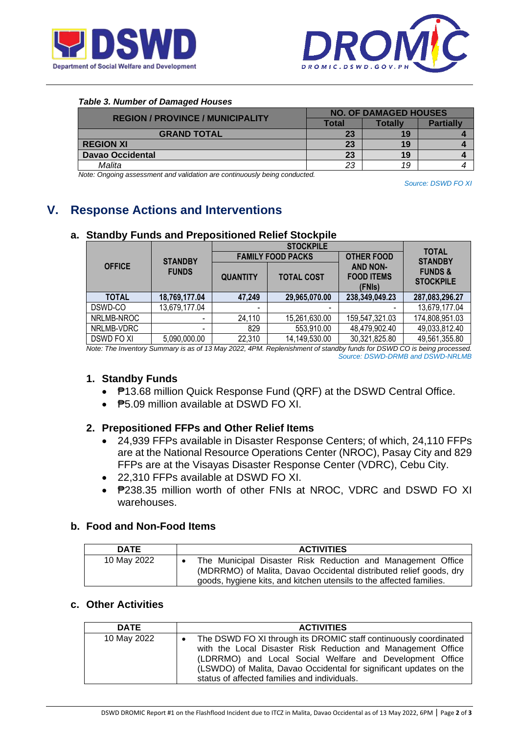



#### *Table 3. Number of Damaged Houses*

| <b>REGION / PROVINCE / MUNICIPALITY</b> | <b>NO. OF DAMAGED HOUSES</b> |         |                  |  |
|-----------------------------------------|------------------------------|---------|------------------|--|
|                                         | Total                        | Totallv | <b>Partially</b> |  |
| <b>GRAND TOTAL</b>                      | 23                           | 19      |                  |  |
| <b>REGION XI</b>                        | 23                           | 19      |                  |  |
| <b>Davao Occidental</b>                 | 23                           | 19      |                  |  |
| Malita                                  | 23                           | 19      |                  |  |

*Note: Ongoing assessment and validation are continuously being conducted.*

*Source: DSWD FO XI*

# **V. Response Actions and Interventions**

|                   |                          |                 | <b>TOTAL</b>             |                                                |                                       |  |
|-------------------|--------------------------|-----------------|--------------------------|------------------------------------------------|---------------------------------------|--|
| <b>STANDBY</b>    |                          |                 | <b>FAMILY FOOD PACKS</b> | <b>OTHER FOOD</b>                              | <b>STANDBY</b>                        |  |
| <b>OFFICE</b>     | <b>FUNDS</b>             | <b>QUANTITY</b> | <b>TOTAL COST</b>        | <b>AND NON-</b><br><b>FOOD ITEMS</b><br>(FNIs) | <b>FUNDS&amp;</b><br><b>STOCKPILE</b> |  |
| <b>TOTAL</b>      | 18,769,177.04            | 47,249          | 29,965,070.00            | 238,349,049.23                                 | 287,083,296.27                        |  |
| DSWD-CO           | 13,679,177.04            | -               |                          |                                                | 13,679,177.04                         |  |
| NRLMB-NROC        |                          | 24,110          | 15,261,630.00            | 159,547,321.03                                 | 174,808,951.03                        |  |
| NRLMB-VDRC        | $\overline{\phantom{0}}$ | 829             | 553,910.00               | 48,479,902.40                                  | 49,033,812.40                         |  |
| <b>DSWD FO XI</b> | 5,090,000.00             | 22,310          | 14,149,530.00            | 30,321,825.80                                  | 49,561,355.80                         |  |

## **a. Standby Funds and Prepositioned Relief Stockpile**

*Note: The Inventory Summary is as of 13 May 2022, 4PM. Replenishment of standby funds for DSWD CO is being processed. Source: DSWD-DRMB and DSWD-NRLMB*

### **1. Standby Funds**

- **P13.68 million Quick Response Fund (QRF) at the DSWD Central Office.**
- **<u>P5.09</u>** million available at DSWD FO XL

# **2. Prepositioned FFPs and Other Relief Items**

- 24,939 FFPs available in Disaster Response Centers; of which, 24,110 FFPs are at the National Resource Operations Center (NROC), Pasay City and 829 FFPs are at the Visayas Disaster Response Center (VDRC), Cebu City.
- 22,310 FFPs available at DSWD FO XI.
- **P238.35 million worth of other FNIs at NROC, VDRC and DSWD FO XI** warehouses.

### **b. Food and Non-Food Items**

| <b>DATE</b> | <b>ACTIVITIES</b>                                                                                                                                                                                        |
|-------------|----------------------------------------------------------------------------------------------------------------------------------------------------------------------------------------------------------|
| 10 May 2022 | The Municipal Disaster Risk Reduction and Management Office<br>(MDRRMO) of Malita, Davao Occidental distributed relief goods, dry<br>goods, hygiene kits, and kitchen utensils to the affected families. |

## **c. Other Activities**

| <b>DATE</b> | <b>ACTIVITIES</b>                                                                                                                                                                                                                                                                                                  |
|-------------|--------------------------------------------------------------------------------------------------------------------------------------------------------------------------------------------------------------------------------------------------------------------------------------------------------------------|
| 10 May 2022 | The DSWD FO XI through its DROMIC staff continuously coordinated<br>with the Local Disaster Risk Reduction and Management Office<br>(LDRRMO) and Local Social Welfare and Development Office<br>(LSWDO) of Malita, Davao Occidental for significant updates on the<br>status of affected families and individuals. |